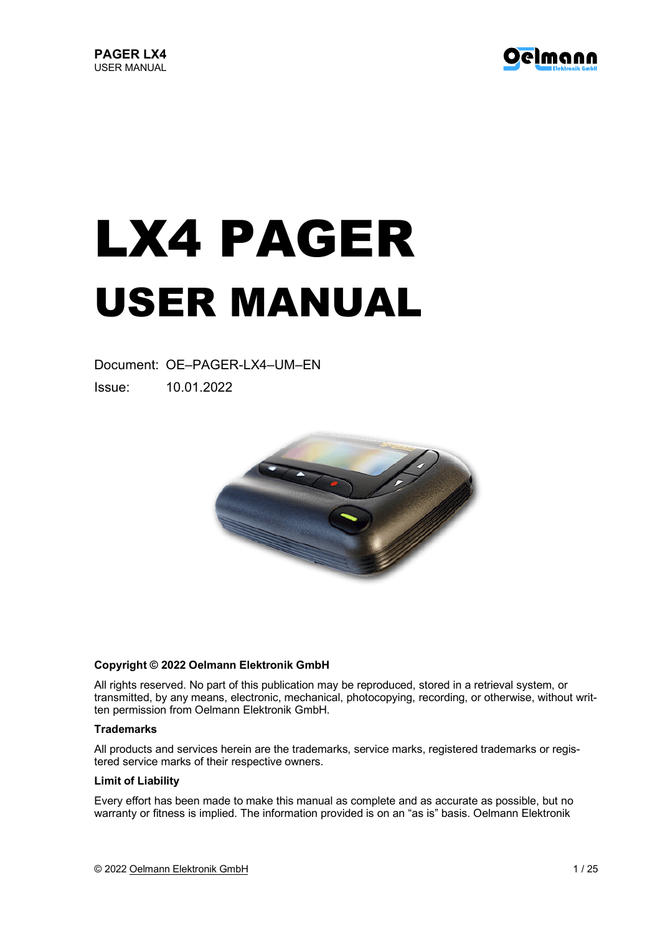

# LX4 PAGER USER MANUAL

Document: OE–PAGER-LX4–UM–EN Issue: 10.01.2022



#### **Copyright © 2022 Oelmann Elektronik GmbH**

All rights reserved. No part of this publication may be reproduced, stored in a retrieval system, or transmitted, by any means, electronic, mechanical, photocopying, recording, or otherwise, without written permission from Oelmann Elektronik GmbH.

#### **Trademarks**

All products and services herein are the trademarks, service marks, registered trademarks or registered service marks of their respective owners.

#### **Limit of Liability**

Every effort has been made to make this manual as complete and as accurate as possible, but no warranty or fitness is implied. The information provided is on an "as is" basis. Oelmann Elektronik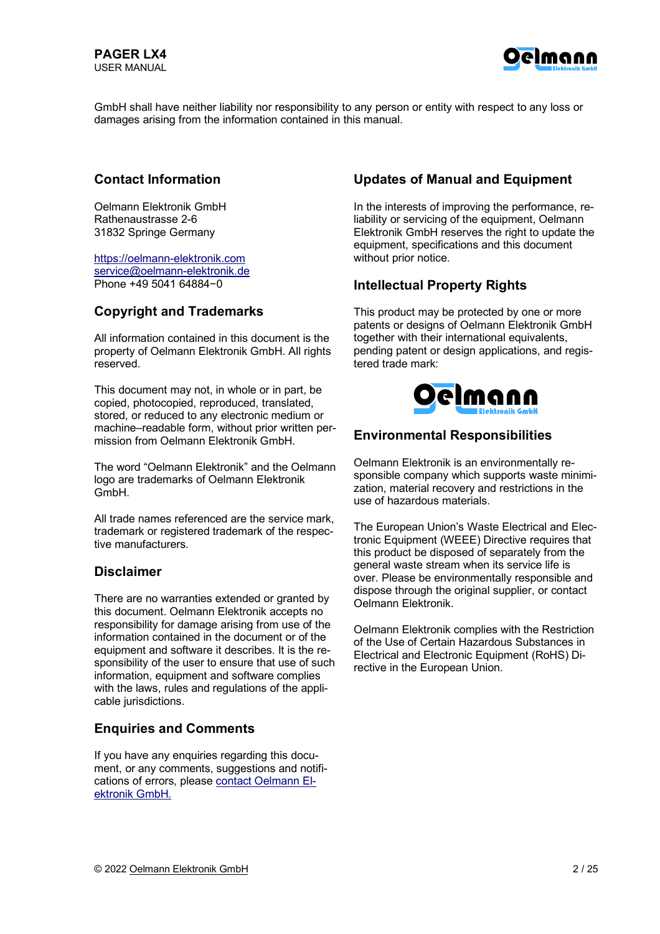

GmbH shall have neither liability nor responsibility to any person or entity with respect to any loss or damages arising from the information contained in this manual.

#### **Contact Information**

Oelmann Elektronik GmbH Rathenaustrasse 2-6 31832 Springe Germany

https://oelmann-elektronik.com service@oelmann-elektronik.de Phone +49 5041 64884−0

#### **Copyright and Trademarks**

All information contained in this document is the property of Oelmann Elektronik GmbH. All rights reserved.

This document may not, in whole or in part, be copied, photocopied, reproduced, translated, stored, or reduced to any electronic medium or machine–readable form, without prior written permission from Oelmann Elektronik GmbH.

The word "Oelmann Elektronik" and the Oelmann logo are trademarks of Oelmann Elektronik GmbH.

All trade names referenced are the service mark. trademark or registered trademark of the respective manufacturers.

#### **Disclaimer**

There are no warranties extended or granted by this document. Oelmann Elektronik accepts no responsibility for damage arising from use of the information contained in the document or of the equipment and software it describes. It is the responsibility of the user to ensure that use of such information, equipment and software complies with the laws, rules and regulations of the applicable jurisdictions.

#### **Enquiries and Comments**

If you have any enquiries regarding this document, or any comments, suggestions and notifications of errors, please contact Oelmann Elektronik GmbH.

#### **Updates of Manual and Equipment**

In the interests of improving the performance, reliability or servicing of the equipment, Oelmann Elektronik GmbH reserves the right to update the equipment, specifications and this document without prior notice.

#### **Intellectual Property Rights**

This product may be protected by one or more patents or designs of Oelmann Elektronik GmbH together with their international equivalents, pending patent or design applications, and registered trade mark:



#### **Environmental Responsibilities**

Oelmann Elektronik is an environmentally responsible company which supports waste minimization, material recovery and restrictions in the use of hazardous materials.

The European Union's Waste Electrical and Electronic Equipment (WEEE) Directive requires that this product be disposed of separately from the general waste stream when its service life is over. Please be environmentally responsible and dispose through the original supplier, or contact Oelmann Elektronik.

Oelmann Elektronik complies with the Restriction of the Use of Certain Hazardous Substances in Electrical and Electronic Equipment (RoHS) Directive in the European Union.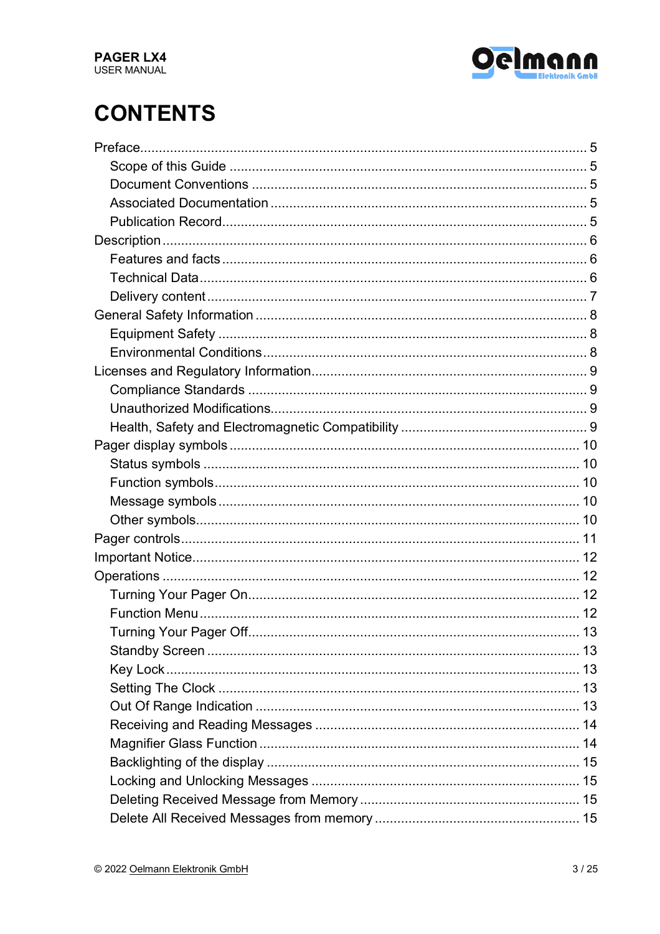

# **CONTENTS**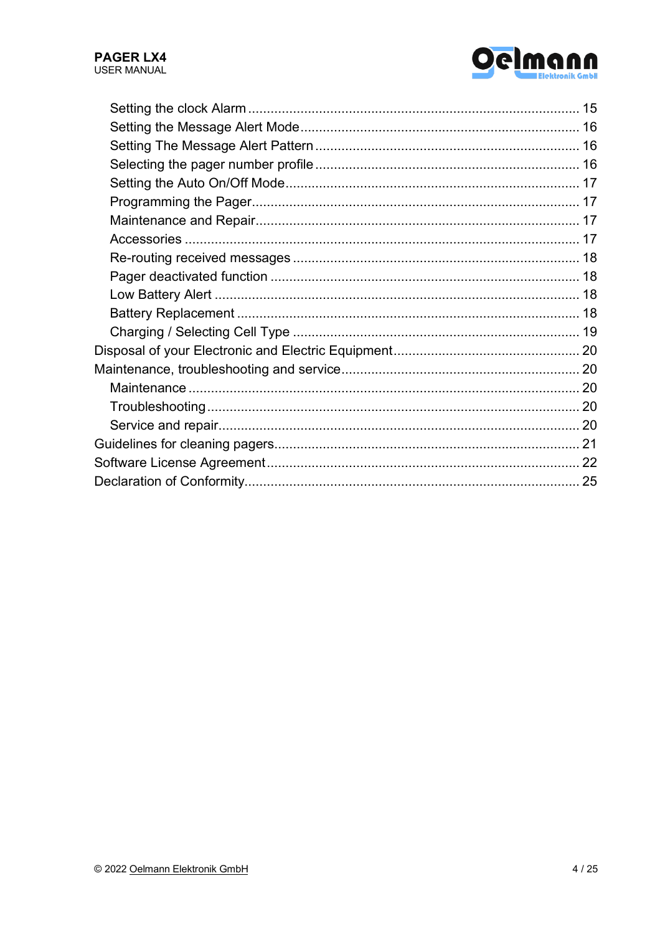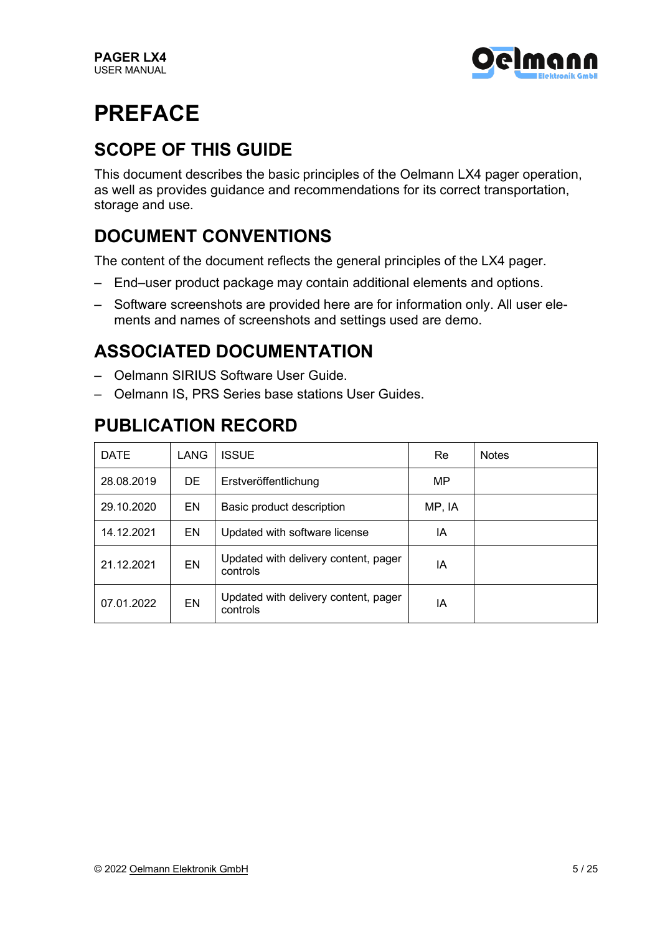

# **PREFACE**

### **SCOPE OF THIS GUIDE**

This document describes the basic principles of the Oelmann LX4 pager operation, as well as provides guidance and recommendations for its correct transportation, storage and use.

### **DOCUMENT CONVENTIONS**

The content of the document reflects the general principles of the LX4 pager.

- End–user product package may contain additional elements and options.
- Software screenshots are provided here are for information only. All user elements and names of screenshots and settings used are demo.

### **ASSOCIATED DOCUMENTATION**

- Oelmann SIRIUS Software User Guide.
- Oelmann IS, PRS Series base stations User Guides.

### **PUBLICATION RECORD**

| <b>DATE</b> | LANG      | <b>ISSUE</b>                                     | Re     | <b>Notes</b> |
|-------------|-----------|--------------------------------------------------|--------|--------------|
| 28.08.2019  | DE.       | Erstveröffentlichung                             | MP.    |              |
| 29.10.2020  | EN        | Basic product description                        | MP, IA |              |
| 14.12.2021  | EN        | Updated with software license                    | IA     |              |
| 21.12.2021  | <b>EN</b> | Updated with delivery content, pager<br>controls | ΙA     |              |
| 07.01.2022  | <b>EN</b> | Updated with delivery content, pager<br>controls | ΙA     |              |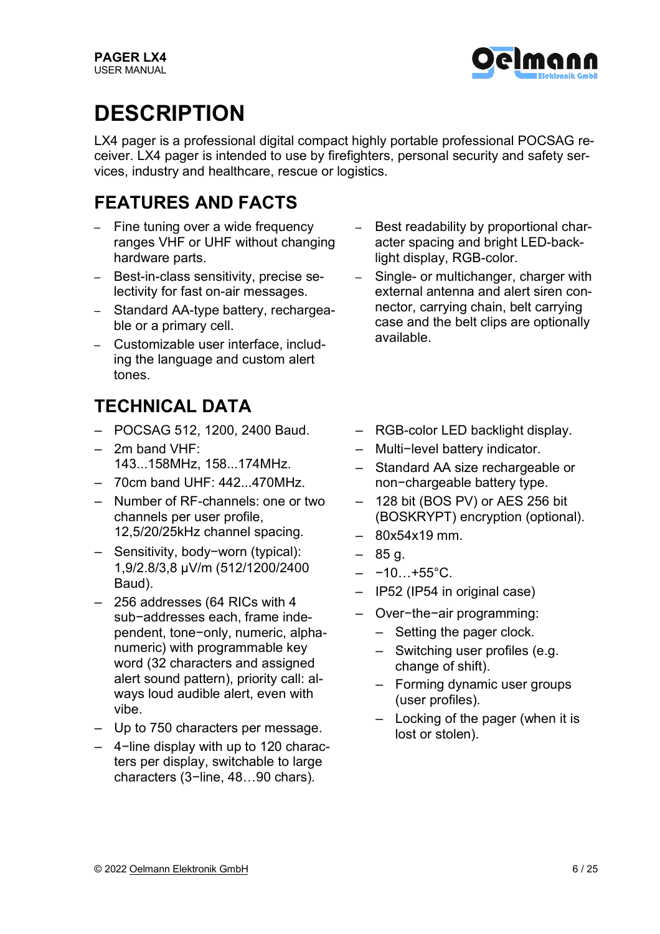

# **DESCRIPTION**

LX4 pager is a professional digital compact highly portable professional POCSAG receiver. LX4 pager is intended to use by firefighters, personal security and safety services, industry and healthcare, rescue or logistics.

### **FEATURES AND FACTS**

- Fine tuning over a wide frequency ranges VHF or UHF without changing hardware parts.
- Best-in-class sensitivity, precise selectivity for fast on-air messages.
- Standard AA-type battery, rechargeable or a primary cell.
- Customizable user interface, including the language and custom alert tones.

### **TECHNICAL DATA**

- POCSAG 512, 1200, 2400 Baud.
- $-$  2m band VHF $\cdot$ 143...158MHz, 158...174MHz.
- $-70cm$  band UHF:  $442.170$ MHz.
- Number of RF-channels: one or two channels per user profile, 12,5/20/25kHz channel spacing.
- Sensitivity, body−worn (typical): 1,9/2.8/3,8 μV/m (512/1200/2400 Baud).
- 256 addresses (64 RICs with 4 sub−addresses each, frame independent, tone−only, numeric, alphanumeric) with programmable key word (32 characters and assigned alert sound pattern), priority call: always loud audible alert, even with vibe.
- Up to 750 characters per message.
- 4−line display with up to 120 characters per display, switchable to large characters (3−line, 48…90 chars).
- Best readability by proportional character spacing and bright LED-backlight display, RGB-color.
- Single- or multichanger, charger with external antenna and alert siren connector, carrying chain, belt carrying case and the belt clips are optionally available.
- RGB-color LED backlight display.
- Multi−level battery indicator.
- Standard AA size rechargeable or non−chargeable battery type.
- 128 bit (BOS PV) or AES 256 bit (BOSKRYPT) encryption (optional).
- 80x54x19 mm.
- 85 g.
- $-$  -10…+55°C.
- IP52 (IP54 in original case)
- Over−the−air programming:
	- Setting the pager clock.
	- Switching user profiles (e.g. change of shift).
	- Forming dynamic user groups (user profiles).
	- Locking of the pager (when it is lost or stolen).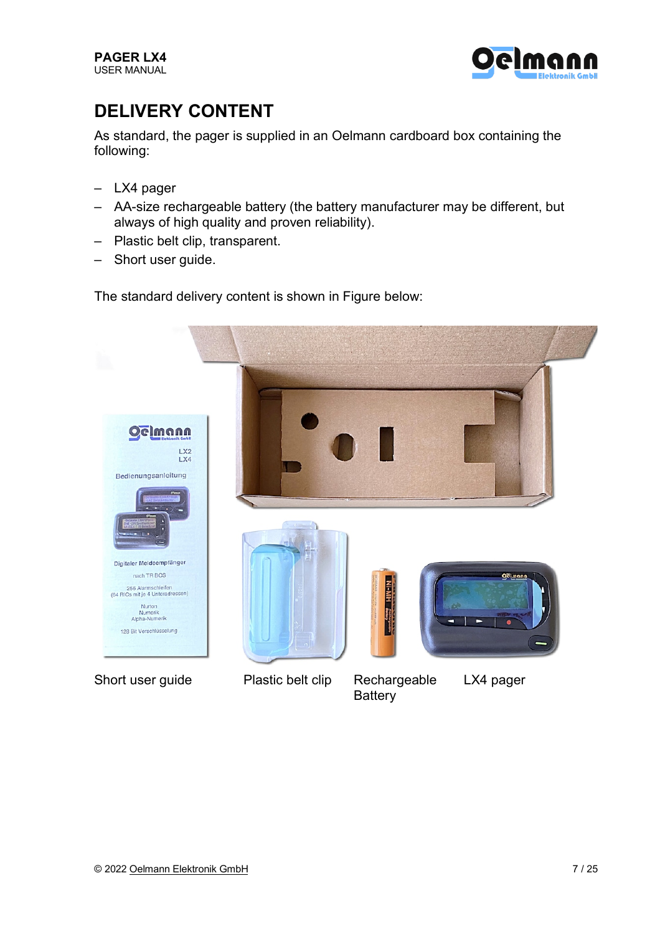

### **DELIVERY CONTENT**

As standard, the pager is supplied in an Oelmann cardboard box containing the following:

- LX4 pager
- AA-size rechargeable battery (the battery manufacturer may be different, but always of high quality and proven reliability).
- Plastic belt clip, transparent.
- Short user guide.

The standard delivery content is shown in Figure below:

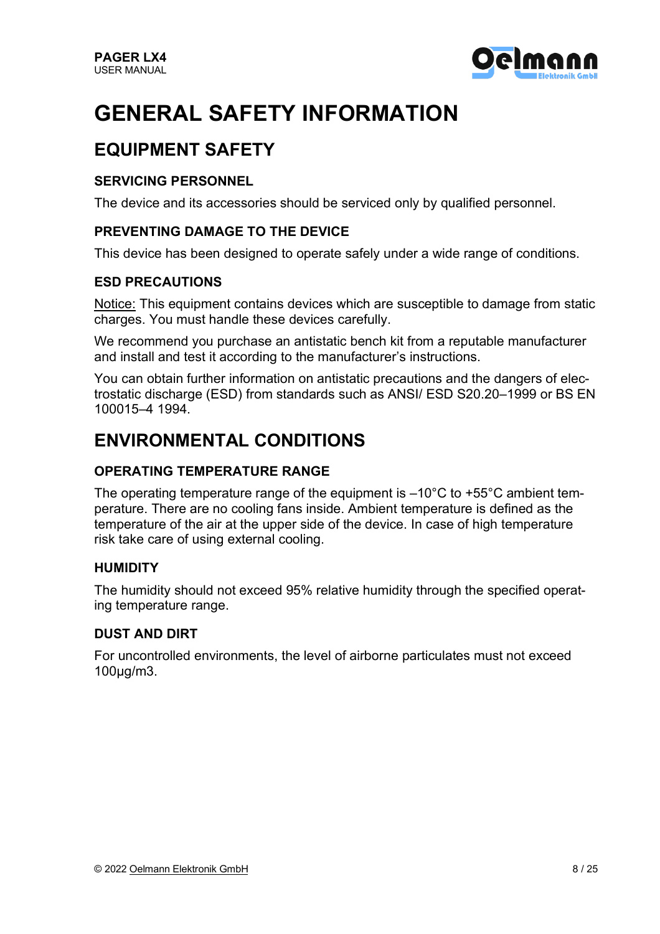

# **GENERAL SAFETY INFORMATION**

### **EQUIPMENT SAFETY**

#### **SERVICING PERSONNEL**

The device and its accessories should be serviced only by qualified personnel.

#### **PREVENTING DAMAGE TO THE DEVICE**

This device has been designed to operate safely under a wide range of conditions.

#### **ESD PRECAUTIONS**

Notice: This equipment contains devices which are susceptible to damage from static charges. You must handle these devices carefully.

We recommend you purchase an antistatic bench kit from a reputable manufacturer and install and test it according to the manufacturer's instructions.

You can obtain further information on antistatic precautions and the dangers of electrostatic discharge (ESD) from standards such as ANSI/ ESD S20.20–1999 or BS EN 100015–4 1994.

#### **ENVIRONMENTAL CONDITIONS**

#### **OPERATING TEMPERATURE RANGE**

The operating temperature range of the equipment is –10°C to +55°C ambient temperature. There are no cooling fans inside. Ambient temperature is defined as the temperature of the air at the upper side of the device. In case of high temperature risk take care of using external cooling.

#### **HUMIDITY**

The humidity should not exceed 95% relative humidity through the specified operating temperature range.

#### **DUST AND DIRT**

For uncontrolled environments, the level of airborne particulates must not exceed 100μg/m3.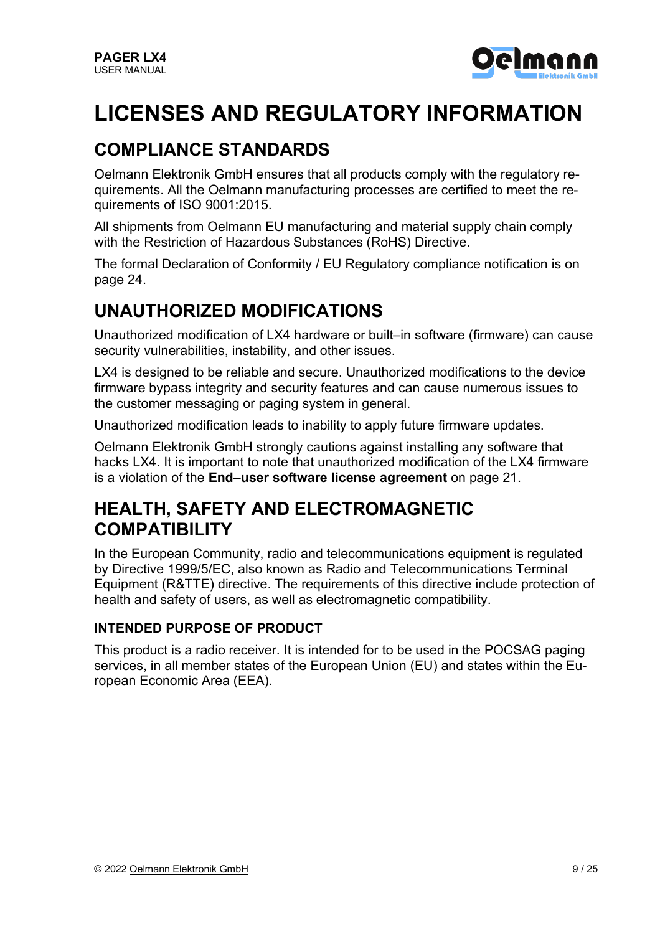

# **LICENSES AND REGULATORY INFORMATION**

### **COMPLIANCE STANDARDS**

Oelmann Elektronik GmbH ensures that all products comply with the regulatory requirements. All the Oelmann manufacturing processes are certified to meet the requirements of ISO 9001:2015.

All shipments from Oelmann EU manufacturing and material supply chain comply with the Restriction of Hazardous Substances (RoHS) Directive.

The formal Declaration of Conformity / EU Regulatory compliance notification is on page 24.

### **UNAUTHORIZED MODIFICATIONS**

Unauthorized modification of LX4 hardware or built–in software (firmware) can cause security vulnerabilities, instability, and other issues.

LX4 is designed to be reliable and secure. Unauthorized modifications to the device firmware bypass integrity and security features and can cause numerous issues to the customer messaging or paging system in general.

Unauthorized modification leads to inability to apply future firmware updates.

Oelmann Elektronik GmbH strongly cautions against installing any software that hacks LX4. It is important to note that unauthorized modification of the LX4 firmware is a violation of the **End–user software license agreement** on page 21.

### **HEALTH, SAFETY AND ELECTROMAGNETIC COMPATIBILITY**

In the European Community, radio and telecommunications equipment is regulated by Directive 1999/5/EC, also known as Radio and Telecommunications Terminal Equipment (R&TTE) directive. The requirements of this directive include protection of health and safety of users, as well as electromagnetic compatibility.

#### **INTENDED PURPOSE OF PRODUCT**

This product is a radio receiver. It is intended for to be used in the POCSAG paging services, in all member states of the European Union (EU) and states within the European Economic Area (EEA).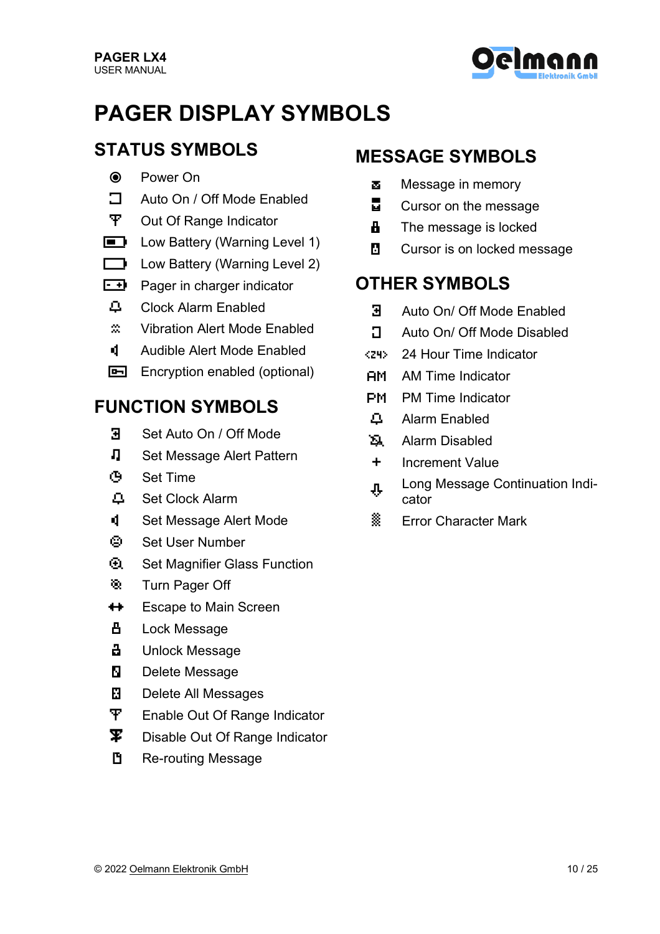

# **PAGER DISPLAY SYMBOLS**

### **STATUS SYMBOLS**

- & Power On
- $\Box$  Auto On / Off Mode Enabled
- **T** Out Of Range Indicator
- **Example 2** Low Battery (Warning Level 1)
- $\Box$  Low Battery (Warning Level 2)
- $\overline{f}$  Pager in charger indicator
- X Clock Alarm Enabled
- ˝ Vibration Alert Mode Enabled
- © Audible Alert Mode Enabled
- **E** Encryption enabled (optional)

#### **FUNCTION SYMBOLS**

- ¶ Set Auto On / Off Mode
- Set Message Alert Pattern
- º Set Time
- Ã Set Clock Alarm
- **I** Set Message Alert Mode
- ) Set User Number
- **3 Set Magnifier Glass Function**
- <sup>®</sup> Turn Pager Off
- $\leftrightarrow$  Escape to Main Screen
- **凸** Lock Message
- **H** Unlock Message
- **N** Delete Message
- **K** Delete All Messages
- ¡ Enable Out Of Range Indicator
- $\mathbf{\Psi}$  Disable Out Of Range Indicator
- **F** Re-routing Message

#### **MESSAGE SYMBOLS**

- Message in memory
- $\Box$  Cursor on the message
- $\mathbf{H}$  The message is locked
- **E** Cursor is on locked message

#### **OTHER SYMBOLS**

- **B** Auto On/ Off Mode Enabled
- **T** Auto On/ Off Mode Disabled
- 5 24 Hour Time Indicator
- . AM Time Indicator
- , PM Time Indicator
- **4** Alarm Enabled
- **E** Alarm Disabled
- + Increment Value
- **n** Long Message Continuation Indicator
- ª Error Character Mark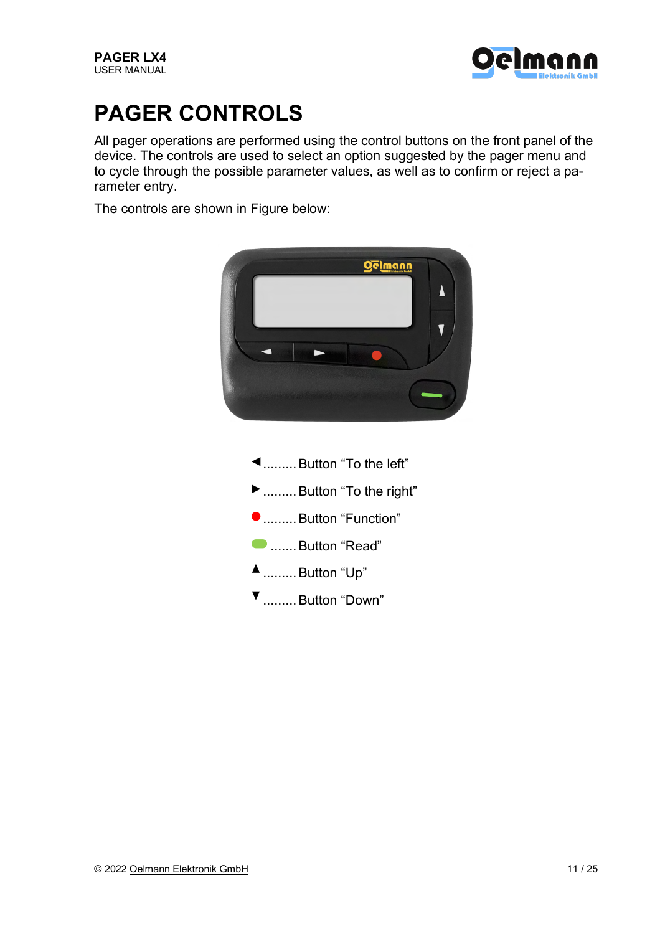

# **PAGER CONTROLS**

All pager operations are performed using the control buttons on the front panel of the device. The controls are used to select an option suggested by the pager menu and to cycle through the possible parameter values, as well as to confirm or reject a parameter entry.

The controls are shown in Figure below:

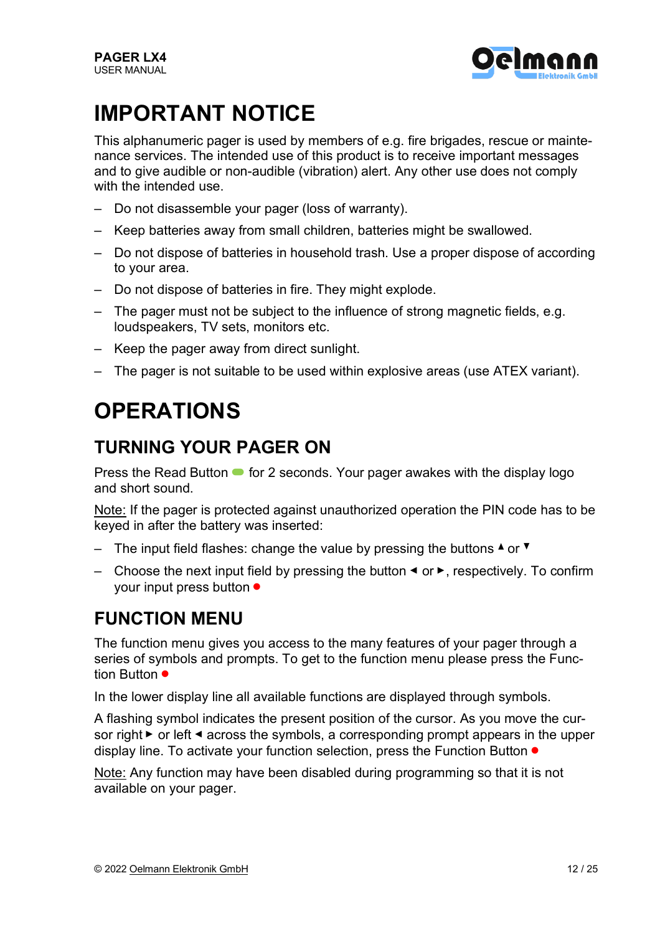

# **IMPORTANT NOTICE**

This alphanumeric pager is used by members of e.g. fire brigades, rescue or maintenance services. The intended use of this product is to receive important messages and to give audible or non-audible (vibration) alert. Any other use does not comply with the intended use.

- Do not disassemble your pager (loss of warranty).
- Keep batteries away from small children, batteries might be swallowed.
- Do not dispose of batteries in household trash. Use a proper dispose of according to your area.
- Do not dispose of batteries in fire. They might explode.
- The pager must not be subject to the influence of strong magnetic fields, e.g. loudspeakers, TV sets, monitors etc.
- Keep the pager away from direct sunlight.
- The pager is not suitable to be used within explosive areas (use ATEX variant).

# **OPERATIONS**

#### **TURNING YOUR PAGER ON**

Press the Read Button  $\bullet$  for 2 seconds. Your pager awakes with the display logo and short sound.

Note: If the pager is protected against unauthorized operation the PIN code has to be keyed in after the battery was inserted:

- The input field flashes: change the value by pressing the buttons  $\triangle$  or  $\blacktriangledown$
- Choose the next input field by pressing the button  $\triangleleft$  or  $\triangleright$ , respectively. To confirm your input press button ●

### **FUNCTION MENU**

The function menu gives you access to the many features of your pager through a series of symbols and prompts. To get to the function menu please press the Function Button ●

In the lower display line all available functions are displayed through symbols.

A flashing symbol indicates the present position of the cursor. As you move the cursor right  $\triangleright$  or left  $\triangleleft$  across the symbols, a corresponding prompt appears in the upper display line. To activate your function selection, press the Function Button ●

Note: Any function may have been disabled during programming so that it is not available on your pager.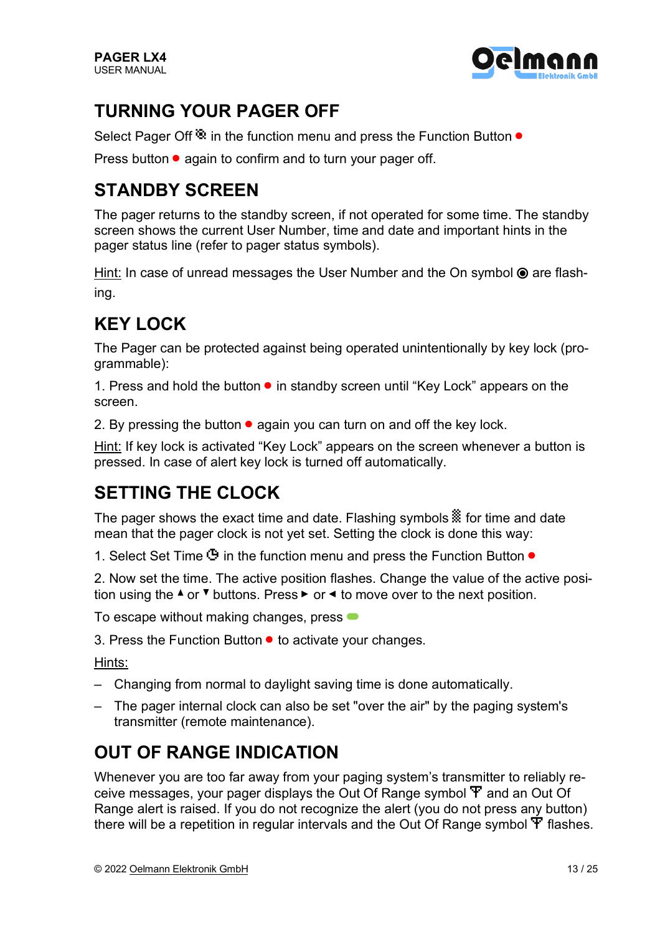

### **TURNING YOUR PAGER OFF**

Select Pager Off<sup>®</sup> in the function menu and press the Function Button ●

Press button  $\bullet$  again to confirm and to turn your pager off.

### **STANDBY SCREEN**

The pager returns to the standby screen, if not operated for some time. The standby screen shows the current User Number, time and date and important hints in the pager status line (refer to pager status symbols).

Hint: In case of unread messages the User Number and the On symbol  $\odot$  are flashing.

### **KEY LOCK**

The Pager can be protected against being operated unintentionally by key lock (programmable):

1. Press and hold the button ● in standby screen until "Key Lock" appears on the screen.

2. By pressing the button  $\bullet$  again you can turn on and off the key lock.

Hint: If key lock is activated "Key Lock" appears on the screen whenever a button is pressed. In case of alert key lock is turned off automatically.

### **SETTING THE CLOCK**

The pager shows the exact time and date. Flashing symbols  $\frac{36}{100}$  for time and date mean that the pager clock is not yet set. Setting the clock is done this way:

1. Select Set Time  $\ddot{\mathbf{P}}$  in the function menu and press the Function Button  $\bullet$ 

2. Now set the time. The active position flashes. Change the value of the active position using the  $\triangle$  or  $\blacktriangledown$  buttons. Press  $\blacktriangleright$  or  $\blacktriangleleft$  to move over to the next position.

To escape without making changes, press  $\bullet$ 

3. Press the Function Button ● to activate your changes.

Hints:

- Changing from normal to daylight saving time is done automatically.
- The pager internal clock can also be set "over the air" by the paging system's transmitter (remote maintenance).

### **OUT OF RANGE INDICATION**

Whenever you are too far away from your paging system's transmitter to reliably receive messages, your pager displays the Out Of Range symbol ¡ and an Out Of Range alert is raised. If you do not recognize the alert (you do not press any button) there will be a repetition in regular intervals and the Out Of Range symbol ¡ flashes.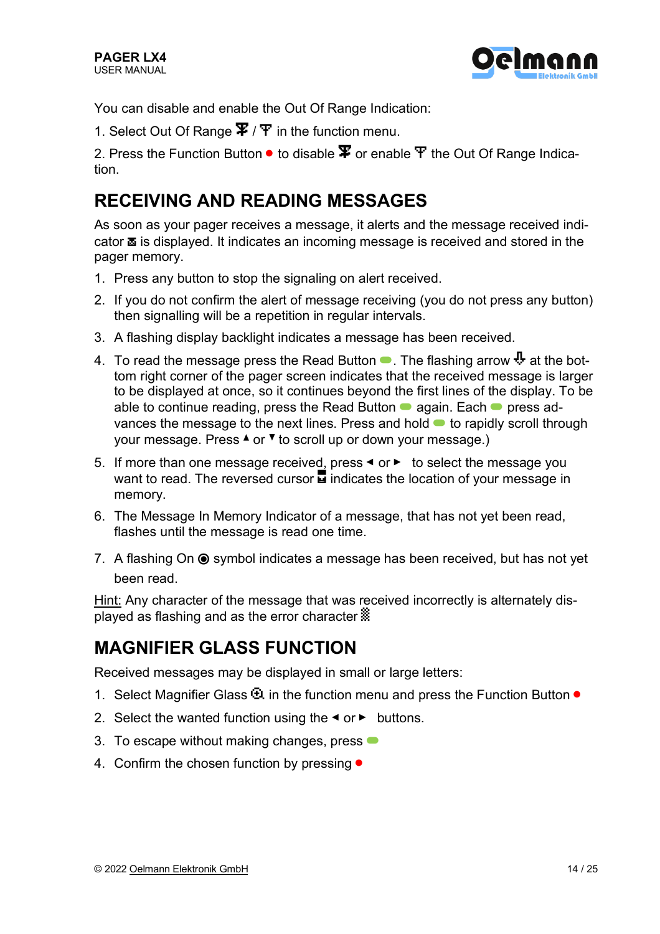

You can disable and enable the Out Of Range Indication:

1. Select Out Of Range  $\mathbf{\Psi}/\mathbf{i}$  in the function menu.

2. Press the Function Button  $\bullet$  to disable  $\mathbf \Psi$  or enable  $\mathbf i$  the Out Of Range Indication.

### **RECEIVING AND READING MESSAGES**

As soon as your pager receives a message, it alerts and the message received indi $c$ ator  $\bar{a}$  is displayed. It indicates an incoming message is received and stored in the pager memory.

- 1. Press any button to stop the signaling on alert received.
- 2. If you do not confirm the alert of message receiving (you do not press any button) then signalling will be a repetition in regular intervals.
- 3. A flashing display backlight indicates a message has been received.
- 4. To read the message press the Read Button  $\bullet$ . The flashing arrow  $\Phi$  at the bottom right corner of the pager screen indicates that the received message is larger to be displayed at once, so it continues beyond the first lines of the display. To be able to continue reading, press the Read Button  $\bullet$  again. Each  $\bullet$  press advances the message to the next lines. Press and hold  $\bullet$  to rapidly scroll through your message. Press  $\triangle$  or  $\blacktriangledown$  to scroll up or down your message.)
- 5. If more than one message received, press  $\triangleleft$  or  $\triangleright$  to select the message you want to read. The reversed cursor  $\overline{u}$  indicates the location of your message in memory.
- 6. The Message In Memory Indicator of a message, that has not yet been read, flashes until the message is read one time.
- 7. A flashing On  $\odot$  symbol indicates a message has been received, but has not yet been read.

Hint: Any character of the message that was received incorrectly is alternately displayed as flashing and as the error character  $\ddot{\ddot{\mathbf{x}}}$ 

#### **MAGNIFIER GLASS FUNCTION**

Received messages may be displayed in small or large letters:

- 1. Select Magnifier Glass **<b>Et** in the function menu and press the Function Button ●
- 2. Select the wanted function using the  $\triangleleft$  or  $\triangleright$  buttons.
- 3. To escape without making changes, press  $\bullet$
- 4. Confirm the chosen function by pressing  $\bullet$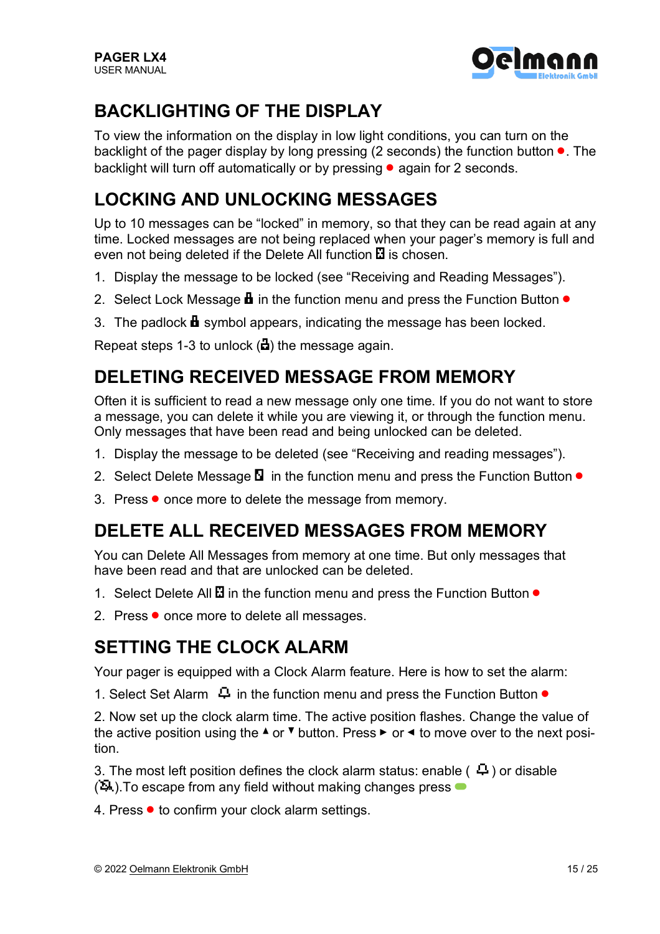

### **BACKLIGHTING OF THE DISPLAY**

To view the information on the display in low light conditions, you can turn on the backlight of the pager display by long pressing (2 seconds) the function button  $\bullet$ . The backlight will turn off automatically or by pressing • again for 2 seconds.

### **LOCKING AND UNLOCKING MESSAGES**

Up to 10 messages can be "locked" in memory, so that they can be read again at any time. Locked messages are not being replaced when your pager's memory is full and even not being deleted if the Delete All function  $\Xi$  is chosen.

- 1. Display the message to be locked (see "Receiving and Reading Messages").
- 2. Select Lock Message  $\blacksquare$  in the function menu and press the Function Button  $\bullet$
- 3. The padlock  $\mathbf{\mathbf{d}}$  symbol appears, indicating the message has been locked.

Repeat steps 1-3 to unlock  $\left(\frac{1}{2}\right)$  the message again.

#### **DELETING RECEIVED MESSAGE FROM MEMORY**

Often it is sufficient to read a new message only one time. If you do not want to store a message, you can delete it while you are viewing it, or through the function menu. Only messages that have been read and being unlocked can be deleted.

- 1. Display the message to be deleted (see "Receiving and reading messages").
- 2. Select Delete Message  $\blacksquare$  in the function menu and press the Function Button  $\bullet$
- 3. Press once more to delete the message from memory.

#### **DELETE ALL RECEIVED MESSAGES FROM MEMORY**

You can Delete All Messages from memory at one time. But only messages that have been read and that are unlocked can be deleted.

- 1. Select Delete All  $\Xi$  in the function menu and press the Function Button  $\bullet$
- 2. Press once more to delete all messages.

#### **SETTING THE CLOCK ALARM**

Your pager is equipped with a Clock Alarm feature. Here is how to set the alarm:

1. Select Set Alarm  $\Box$  in the function menu and press the Function Button  $\bullet$ 

2. Now set up the clock alarm time. The active position flashes. Change the value of the active position using the  $\triangle$  or  $\blacktriangledown$  button. Press  $\blacktriangleright$  or  $\blacktriangleleft$  to move over to the next position.

3. The most left position defines the clock alarm status: enable ( $\overline{A}$ ) or disable  $(4)$ . To escape from any field without making changes press  $\bullet$ 

4. Press ● to confirm your clock alarm settings.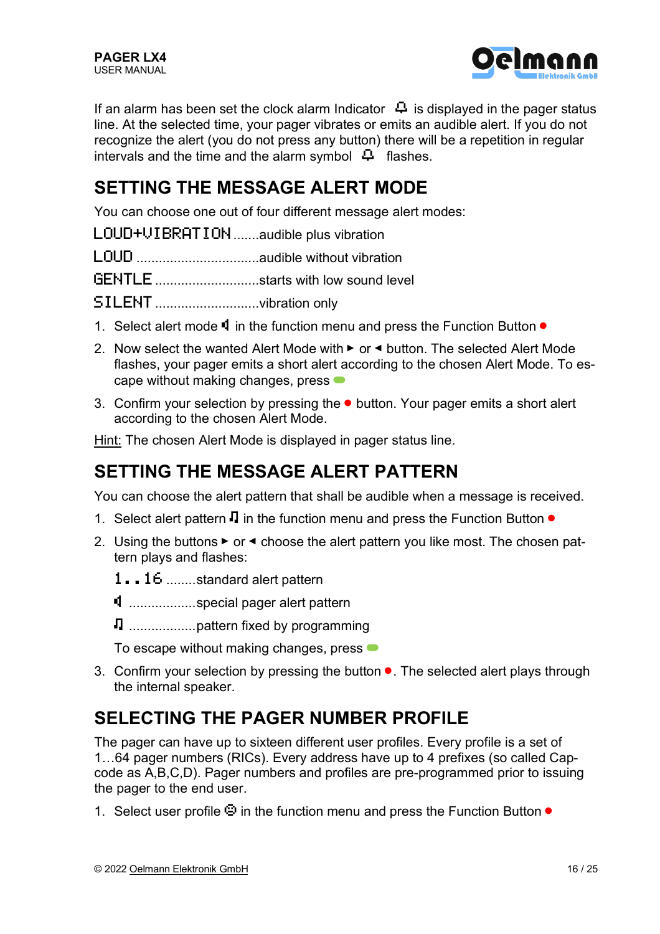

If an alarm has been set the clock alarm Indicator  $\Box$  is displayed in the pager status line. At the selected time, your pager vibrates or emits an audible alert. If you do not recognize the alert (you do not press any button) there will be a repetition in regular intervals and the time and the alarm symbol  $\overline{P}$  flashes.

#### **SETTING THE MESSAGE ALERT MODE**

You can choose one out of four different message alert modes:

- LOUD+VIBRATION.......audible plus vibration
- LOUD .................................audible without vibration
- GENTLE................................starts with low sound level
- SILENT.................................vibration only
- 1. Select alert mode  $\mathbf{\dot{q}}$  in the function menu and press the Function Button  $\bullet$
- 2. Now select the wanted Alert Mode with  $\blacktriangleright$  or  $\blacktriangleleft$  button. The selected Alert Mode flashes, your pager emits a short alert according to the chosen Alert Mode. To escape without making changes, press  $\bullet$
- 3. Confirm your selection by pressing the button. Your pager emits a short alert according to the chosen Alert Mode.

Hint: The chosen Alert Mode is displayed in pager status line.

### **SETTING THE MESSAGE ALERT PATTERN**

You can choose the alert pattern that shall be audible when a message is received.

- 1. Select alert pattern  $\Pi$  in the function menu and press the Function Button  $\bullet$
- 2. Using the buttons  $\triangleright$  or  $\triangleleft$  choose the alert pattern you like most. The chosen pattern plays and flashes:
	- 1..16 ........standard alert pattern
	- ....................special pager alert pattern
	- ® .................. pattern fixed by programming

To escape without making changes, press  $\bullet$ 

3. Confirm your selection by pressing the button ●. The selected alert plays through the internal speaker.

#### **SELECTING THE PAGER NUMBER PROFILE**

The pager can have up to sixteen different user profiles. Every profile is a set of 1…64 pager numbers (RICs). Every address have up to 4 prefixes (so called Capcode as A,B,C,D). Pager numbers and profiles are pre-programmed prior to issuing the pager to the end user.

1. Select user profile  $\ddot{\mathbf{e}}$  in the function menu and press the Function Button  $\bullet$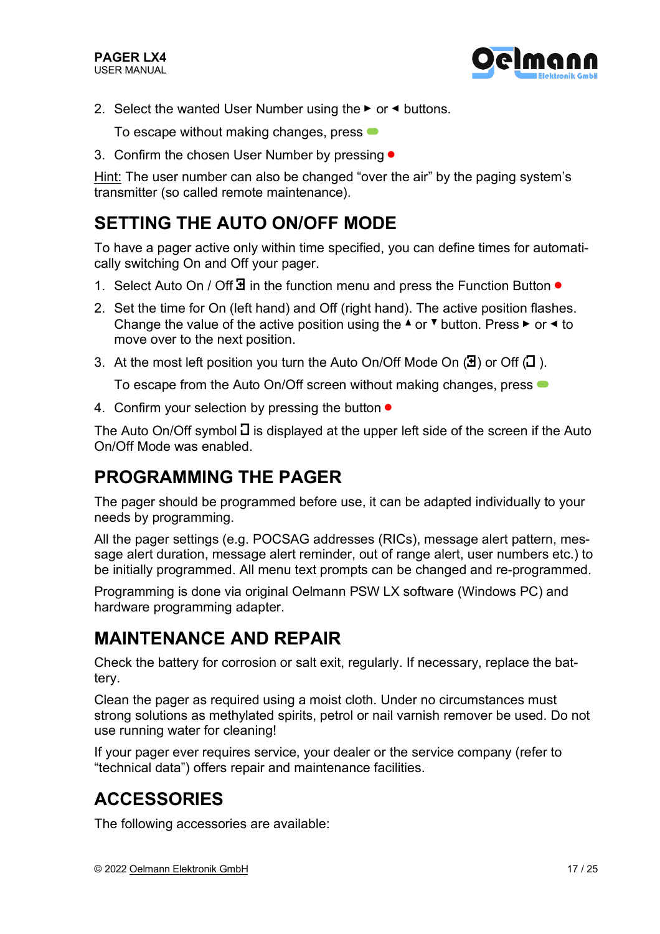

2. Select the wanted User Number using the  $\blacktriangleright$  or  $\blacktriangleleft$  buttons.

To escape without making changes, press  $\bullet$ 

3. Confirm the chosen User Number by pressing ●

Hint: The user number can also be changed "over the air" by the paging system's transmitter (so called remote maintenance).

#### **SETTING THE AUTO ON/OFF MODE**

To have a pager active only within time specified, you can define times for automatically switching On and Off your pager.

- 1. Select Auto On / Off $\overline{a}$  in the function menu and press the Function Button  $\bullet$
- 2. Set the time for On (left hand) and Off (right hand). The active position flashes. Change the value of the active position using the  $\triangle$  or  $\blacktriangledown$  button. Press  $\blacktriangleright$  or  $\blacktriangleleft$  to move over to the next position.
- 3. At the most left position you turn the Auto On/Off Mode On  $(\mathbf{H})$  or Off  $(\mathbf{L})$ .

To escape from the Auto On/Off screen without making changes, press  $\bullet$ 

4. Confirm your selection by pressing the button  $\bullet$ 

The Auto On/Off symbol  $\overline{d}$  is displayed at the upper left side of the screen if the Auto On/Off Mode was enabled.

#### **PROGRAMMING THE PAGER**

The pager should be programmed before use, it can be adapted individually to your needs by programming.

All the pager settings (e.g. POCSAG addresses (RICs), message alert pattern, message alert duration, message alert reminder, out of range alert, user numbers etc.) to be initially programmed. All menu text prompts can be changed and re-programmed.

Programming is done via original Oelmann PSW LX software (Windows PC) and hardware programming adapter.

#### **MAINTENANCE AND REPAIR**

Check the battery for corrosion or salt exit, regularly. If necessary, replace the battery.

Clean the pager as required using a moist cloth. Under no circumstances must strong solutions as methylated spirits, petrol or nail varnish remover be used. Do not use running water for cleaning!

If your pager ever requires service, your dealer or the service company (refer to "technical data") offers repair and maintenance facilities.

#### **ACCESSORIES**

The following accessories are available: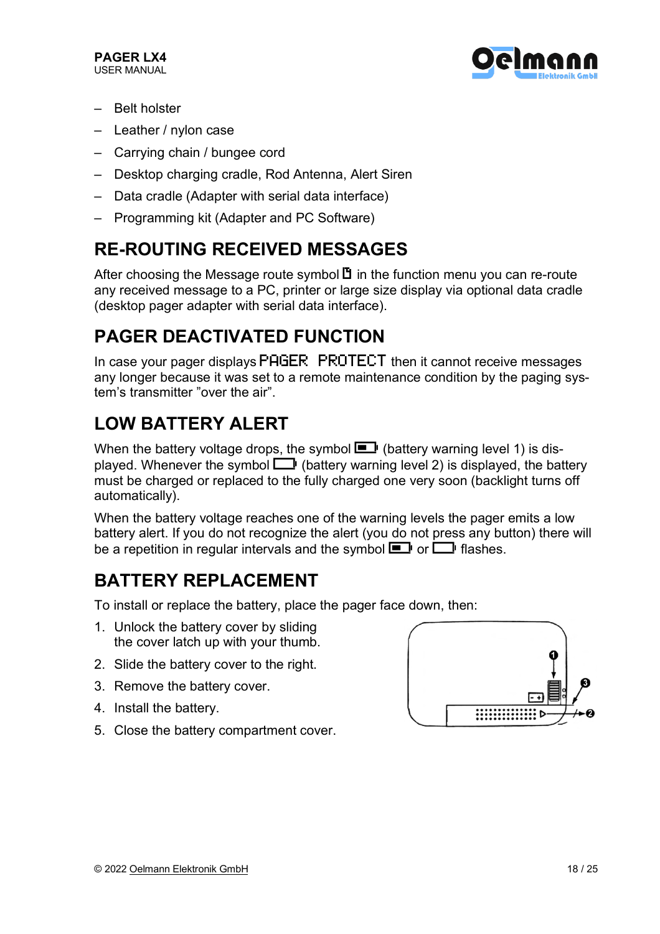

- Belt holster
- Leather / nylon case
- Carrying chain / bungee cord
- Desktop charging cradle, Rod Antenna, Alert Siren
- Data cradle (Adapter with serial data interface)
- Programming kit (Adapter and PC Software)

### **RE-ROUTING RECEIVED MESSAGES**

After choosing the Message route symbol  $\mathbb B$  in the function menu you can re-route any received message to a PC, printer or large size display via optional data cradle (desktop pager adapter with serial data interface).

### **PAGER DEACTIVATED FUNCTION**

In case your pager displays PAGER PROTECT then it cannot receive messages any longer because it was set to a remote maintenance condition by the paging system's transmitter "over the air".

### **LOW BATTERY ALERT**

When the battery voltage drops, the symbol  $\blacksquare$  (battery warning level 1) is displayed. Whenever the symbol  $\Box$  (battery warning level 2) is displayed, the battery must be charged or replaced to the fully charged one very soon (backlight turns off automatically).

When the battery voltage reaches one of the warning levels the pager emits a low battery alert. If you do not recognize the alert (you do not press any button) there will be a repetition in regular intervals and the symbol  $\blacksquare$  or  $\blacksquare$  flashes.

### **BATTERY REPLACEMENT**

To install or replace the battery, place the pager face down, then:

- 1. Unlock the battery cover by sliding the cover latch up with your thumb.
- 2. Slide the battery cover to the right.
- 3. Remove the battery cover.
- 4. Install the battery.
- 5. Close the battery compartment cover.

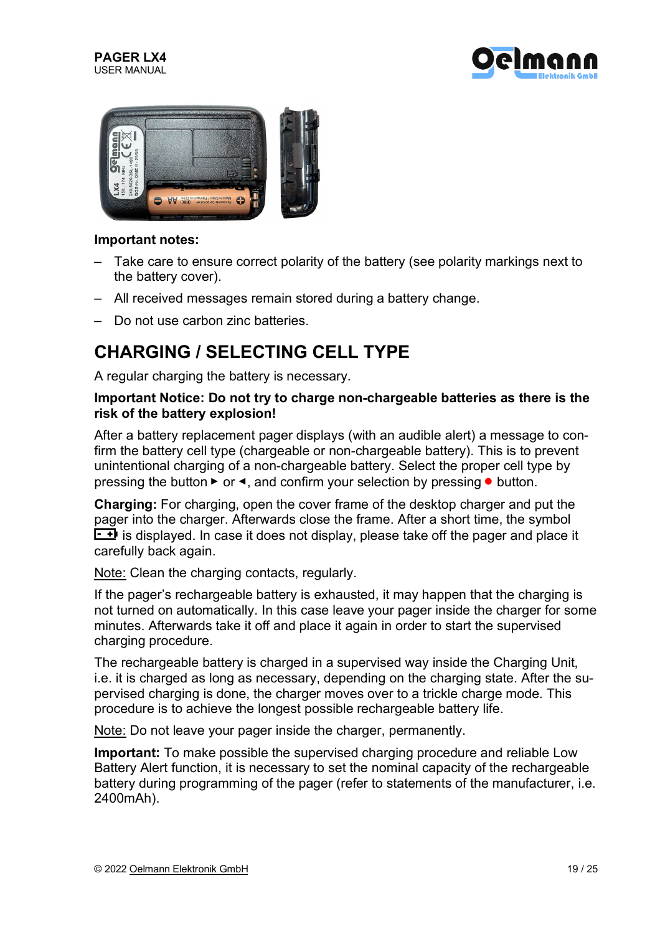





#### **Important notes:**

- Take care to ensure correct polarity of the battery (see polarity markings next to the battery cover).
- All received messages remain stored during a battery change.
- Do not use carbon zinc batteries.

#### **CHARGING / SELECTING CELL TYPE**

A regular charging the battery is necessary.

#### **Important Notice: Do not try to charge non-chargeable batteries as there is the risk of the battery explosion!**

After a battery replacement pager displays (with an audible alert) a message to confirm the battery cell type (chargeable or non-chargeable battery). This is to prevent unintentional charging of a non-chargeable battery. Select the proper cell type by pressing the button  $\blacktriangleright$  or  $\blacktriangleleft$ , and confirm your selection by pressing  $\blacktriangleleft$  button.

**Charging:** For charging, open the cover frame of the desktop charger and put the pager into the charger. Afterwards close the frame. After a short time, the symbol  $\overline{f}$  is displayed. In case it does not display, please take off the pager and place it carefully back again.

Note: Clean the charging contacts, regularly.

If the pager's rechargeable battery is exhausted, it may happen that the charging is not turned on automatically. In this case leave your pager inside the charger for some minutes. Afterwards take it off and place it again in order to start the supervised charging procedure.

The rechargeable battery is charged in a supervised way inside the Charging Unit, i.e. it is charged as long as necessary, depending on the charging state. After the supervised charging is done, the charger moves over to a trickle charge mode. This procedure is to achieve the longest possible rechargeable battery life.

Note: Do not leave your pager inside the charger, permanently.

**Important:** To make possible the supervised charging procedure and reliable Low Battery Alert function, it is necessary to set the nominal capacity of the rechargeable battery during programming of the pager (refer to statements of the manufacturer, i.e. 2400mAh).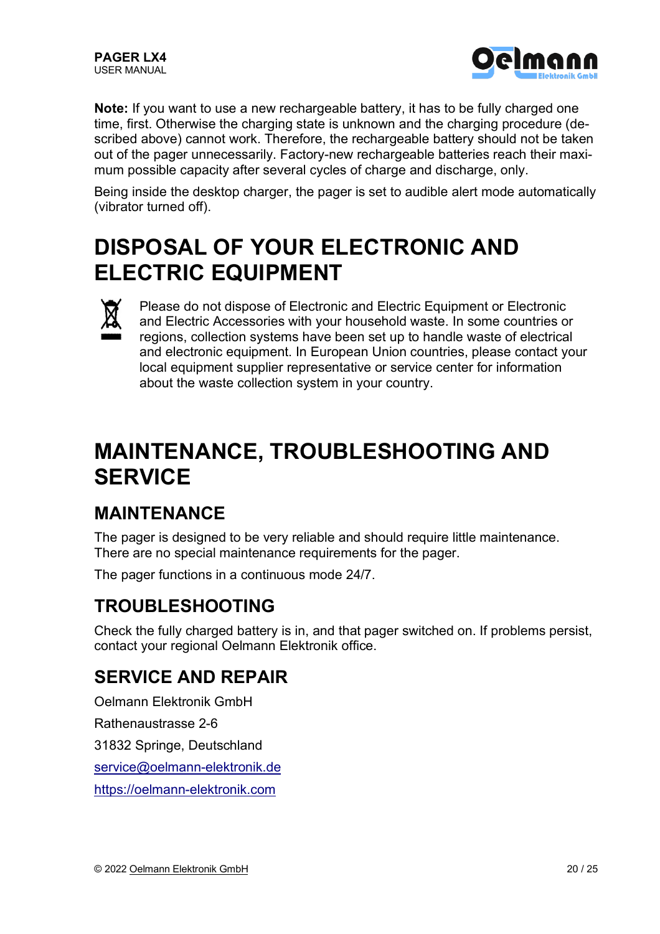

**Note:** If you want to use a new rechargeable battery, it has to be fully charged one time, first. Otherwise the charging state is unknown and the charging procedure (described above) cannot work. Therefore, the rechargeable battery should not be taken out of the pager unnecessarily. Factory-new rechargeable batteries reach their maximum possible capacity after several cycles of charge and discharge, only.

Being inside the desktop charger, the pager is set to audible alert mode automatically (vibrator turned off).

# **DISPOSAL OF YOUR ELECTRONIC AND ELECTRIC EQUIPMENT**



Please do not dispose of Electronic and Electric Equipment or Electronic and Electric Accessories with your household waste. In some countries or regions, collection systems have been set up to handle waste of electrical and electronic equipment. In European Union countries, please contact your local equipment supplier representative or service center for information about the waste collection system in your country.

# **MAINTENANCE, TROUBLESHOOTING AND SERVICE**

#### **MAINTENANCE**

The pager is designed to be very reliable and should require little maintenance. There are no special maintenance requirements for the pager.

The pager functions in a continuous mode 24/7.

#### **TROUBLESHOOTING**

Check the fully charged battery is in, and that pager switched on. If problems persist, contact your regional Oelmann Elektronik office.

#### **SERVICE AND REPAIR**

Oelmann Elektronik GmbH

Rathenaustrasse 2-6

31832 Springe, Deutschland

service@oelmann-elektronik.de

https://oelmann-elektronik.com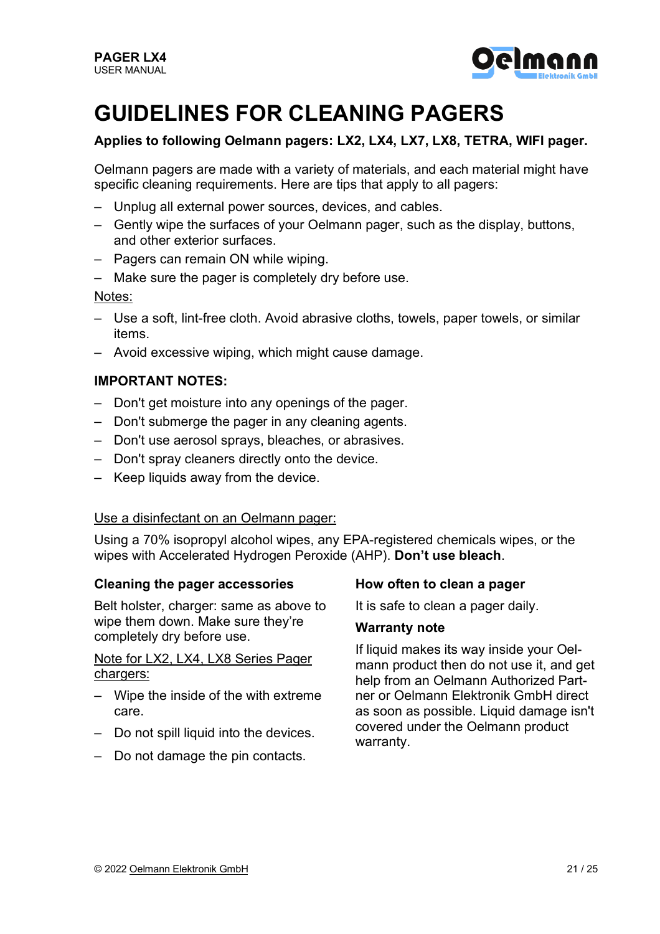

# **GUIDELINES FOR CLEANING PAGERS**

#### **Applies to following Oelmann pagers: LX2, LX4, LX7, LX8, TETRA, WIFI pager.**

Oelmann pagers are made with a variety of materials, and each material might have specific cleaning requirements. Here are tips that apply to all pagers:

- Unplug all external power sources, devices, and cables.
- Gently wipe the surfaces of your Oelmann pager, such as the display, buttons, and other exterior surfaces.
- Pagers can remain ON while wiping.
- Make sure the pager is completely dry before use.

#### Notes:

- Use a soft, lint-free cloth. Avoid abrasive cloths, towels, paper towels, or similar items.
- Avoid excessive wiping, which might cause damage.

#### **IMPORTANT NOTES:**

- Don't get moisture into any openings of the pager.
- Don't submerge the pager in any cleaning agents.
- Don't use aerosol sprays, bleaches, or abrasives.
- Don't spray cleaners directly onto the device.
- Keep liquids away from the device.

#### Use a disinfectant on an Oelmann pager:

Using a 70% isopropyl alcohol wipes, any EPA-registered chemicals wipes, or the wipes with Accelerated Hydrogen Peroxide (AHP). **Don't use bleach**.

#### **Cleaning the pager accessories**

Belt holster, charger: same as above to wipe them down. Make sure they're completely dry before use.

Note for LX2, LX4, LX8 Series Pager chargers:

- Wipe the inside of the with extreme care.
- Do not spill liquid into the devices.
- Do not damage the pin contacts.

#### **How often to clean a pager**

It is safe to clean a pager daily.

#### **Warranty note**

If liquid makes its way inside your Oelmann product then do not use it, and get help from an Oelmann Authorized Partner or Oelmann Elektronik GmbH direct as soon as possible. Liquid damage isn't covered under the Oelmann product warranty.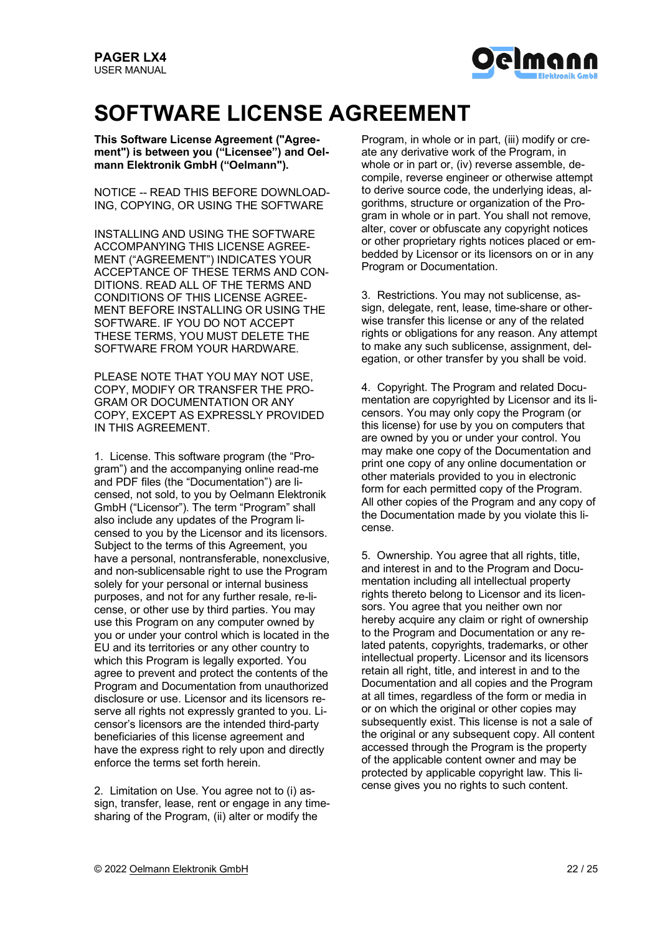

# **SOFTWARE LICENSE AGREEMENT**

**This Software License Agreement ("Agreement") is between you ("Licensee") and Oelmann Elektronik GmbH ("Oelmann").**

NOTICE -- READ THIS BEFORE DOWNLOAD-ING, COPYING, OR USING THE SOFTWARE

INSTALLING AND USING THE SOFTWARE ACCOMPANYING THIS LICENSE AGREE-MENT ("AGREEMENT") INDICATES YOUR ACCEPTANCE OF THESE TERMS AND CON-DITIONS. READ ALL OF THE TERMS AND CONDITIONS OF THIS LICENSE AGREE-MENT BEFORE INSTALLING OR USING THE SOFTWARE. IF YOU DO NOT ACCEPT THESE TERMS, YOU MUST DELETE THE SOFTWARE FROM YOUR HARDWARE.

PLEASE NOTE THAT YOU MAY NOT USE, COPY, MODIFY OR TRANSFER THE PRO-GRAM OR DOCUMENTATION OR ANY COPY, EXCEPT AS EXPRESSLY PROVIDED IN THIS AGREEMENT.

1. License. This software program (the "Program") and the accompanying online read-me and PDF files (the "Documentation") are licensed, not sold, to you by Oelmann Elektronik GmbH ("Licensor"). The term "Program" shall also include any updates of the Program licensed to you by the Licensor and its licensors. Subject to the terms of this Agreement, you have a personal, nontransferable, nonexclusive, and non-sublicensable right to use the Program solely for your personal or internal business purposes, and not for any further resale, re-license, or other use by third parties. You may use this Program on any computer owned by you or under your control which is located in the EU and its territories or any other country to which this Program is legally exported. You agree to prevent and protect the contents of the Program and Documentation from unauthorized disclosure or use. Licensor and its licensors reserve all rights not expressly granted to you. Licensor's licensors are the intended third-party beneficiaries of this license agreement and have the express right to rely upon and directly enforce the terms set forth herein.

2. Limitation on Use. You agree not to (i) assign, transfer, lease, rent or engage in any timesharing of the Program, (ii) alter or modify the

Program, in whole or in part, (iii) modify or create any derivative work of the Program, in whole or in part or, (iv) reverse assemble, decompile, reverse engineer or otherwise attempt to derive source code, the underlying ideas, algorithms, structure or organization of the Program in whole or in part. You shall not remove, alter, cover or obfuscate any copyright notices or other proprietary rights notices placed or embedded by Licensor or its licensors on or in any Program or Documentation.

3. Restrictions. You may not sublicense, assign, delegate, rent, lease, time-share or otherwise transfer this license or any of the related rights or obligations for any reason. Any attempt to make any such sublicense, assignment, delegation, or other transfer by you shall be void.

4. Copyright. The Program and related Documentation are copyrighted by Licensor and its licensors. You may only copy the Program (or this license) for use by you on computers that are owned by you or under your control. You may make one copy of the Documentation and print one copy of any online documentation or other materials provided to you in electronic form for each permitted copy of the Program. All other copies of the Program and any copy of the Documentation made by you violate this license.

5. Ownership. You agree that all rights, title, and interest in and to the Program and Documentation including all intellectual property rights thereto belong to Licensor and its licensors. You agree that you neither own nor hereby acquire any claim or right of ownership to the Program and Documentation or any related patents, copyrights, trademarks, or other intellectual property. Licensor and its licensors retain all right, title, and interest in and to the Documentation and all copies and the Program at all times, regardless of the form or media in or on which the original or other copies may subsequently exist. This license is not a sale of the original or any subsequent copy. All content accessed through the Program is the property of the applicable content owner and may be protected by applicable copyright law. This license gives you no rights to such content.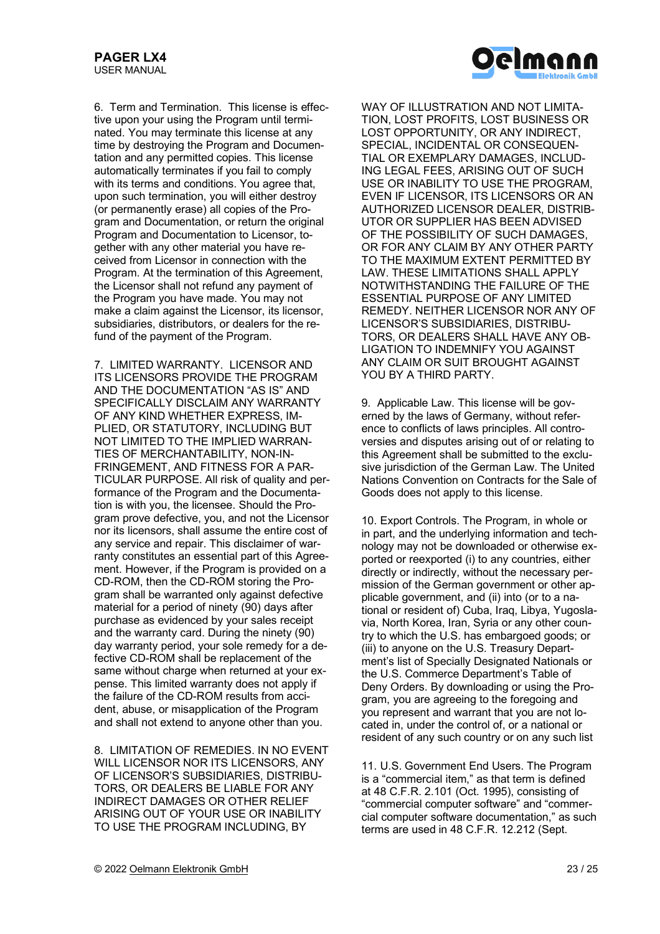

6. Term and Termination. This license is effective upon your using the Program until terminated. You may terminate this license at any time by destroying the Program and Documentation and any permitted copies. This license automatically terminates if you fail to comply with its terms and conditions. You agree that, upon such termination, you will either destroy (or permanently erase) all copies of the Program and Documentation, or return the original Program and Documentation to Licensor, together with any other material you have received from Licensor in connection with the Program. At the termination of this Agreement, the Licensor shall not refund any payment of the Program you have made. You may not make a claim against the Licensor, its licensor, subsidiaries, distributors, or dealers for the refund of the payment of the Program.

7. LIMITED WARRANTY. LICENSOR AND ITS LICENSORS PROVIDE THE PROGRAM AND THE DOCUMENTATION "AS IS" AND SPECIFICALLY DISCLAIM ANY WARRANTY OF ANY KIND WHETHER EXPRESS, IM-PLIED, OR STATUTORY, INCLUDING BUT NOT LIMITED TO THE IMPLIED WARRAN-TIES OF MERCHANTABILITY, NON-IN-FRINGEMENT, AND FITNESS FOR A PAR-TICULAR PURPOSE. All risk of quality and performance of the Program and the Documentation is with you, the licensee. Should the Program prove defective, you, and not the Licensor nor its licensors, shall assume the entire cost of any service and repair. This disclaimer of warranty constitutes an essential part of this Agreement. However, if the Program is provided on a CD-ROM, then the CD-ROM storing the Program shall be warranted only against defective material for a period of ninety (90) days after purchase as evidenced by your sales receipt and the warranty card. During the ninety (90) day warranty period, your sole remedy for a defective CD-ROM shall be replacement of the same without charge when returned at your expense. This limited warranty does not apply if the failure of the CD-ROM results from accident, abuse, or misapplication of the Program and shall not extend to anyone other than you.

8. LIMITATION OF REMEDIES. IN NO EVENT WILL LICENSOR NOR ITS LICENSORS, ANY OF LICENSOR'S SUBSIDIARIES, DISTRIBU-TORS, OR DEALERS BE LIABLE FOR ANY INDIRECT DAMAGES OR OTHER RELIEF ARISING OUT OF YOUR USE OR INABILITY TO USE THE PROGRAM INCLUDING, BY

WAY OF ILLUSTRATION AND NOT LIMITA-TION, LOST PROFITS, LOST BUSINESS OR LOST OPPORTUNITY, OR ANY INDIRECT, SPECIAL, INCIDENTAL OR CONSEQUEN-TIAL OR EXEMPLARY DAMAGES, INCLUD-ING LEGAL FEES, ARISING OUT OF SUCH USE OR INABILITY TO USE THE PROGRAM, EVEN IF LICENSOR, ITS LICENSORS OR AN AUTHORIZED LICENSOR DEALER, DISTRIB-UTOR OR SUPPLIER HAS BEEN ADVISED OF THE POSSIBILITY OF SUCH DAMAGES, OR FOR ANY CLAIM BY ANY OTHER PARTY TO THE MAXIMUM EXTENT PERMITTED BY LAW. THESE LIMITATIONS SHALL APPLY NOTWITHSTANDING THE FAILURE OF THE ESSENTIAL PURPOSE OF ANY LIMITED REMEDY. NEITHER LICENSOR NOR ANY OF LICENSOR'S SUBSIDIARIES, DISTRIBU-TORS, OR DEALERS SHALL HAVE ANY OB-LIGATION TO INDEMNIFY YOU AGAINST ANY CLAIM OR SUIT BROUGHT AGAINST YOU BY A THIRD PARTY.

9. Applicable Law. This license will be governed by the laws of Germany, without reference to conflicts of laws principles. All controversies and disputes arising out of or relating to this Agreement shall be submitted to the exclusive jurisdiction of the German Law. The United Nations Convention on Contracts for the Sale of Goods does not apply to this license.

10. Export Controls. The Program, in whole or in part, and the underlying information and technology may not be downloaded or otherwise exported or reexported (i) to any countries, either directly or indirectly, without the necessary permission of the German government or other applicable government, and (ii) into (or to a national or resident of) Cuba, Iraq, Libya, Yugoslavia, North Korea, Iran, Syria or any other country to which the U.S. has embargoed goods; or (iii) to anyone on the U.S. Treasury Department's list of Specially Designated Nationals or the U.S. Commerce Department's Table of Deny Orders. By downloading or using the Program, you are agreeing to the foregoing and you represent and warrant that you are not located in, under the control of, or a national or resident of any such country or on any such list

11. U.S. Government End Users. The Program is a "commercial item," as that term is defined at 48 C.F.R. 2.101 (Oct. 1995), consisting of "commercial computer software" and "commercial computer software documentation," as such terms are used in 48 C.F.R. 12.212 (Sept.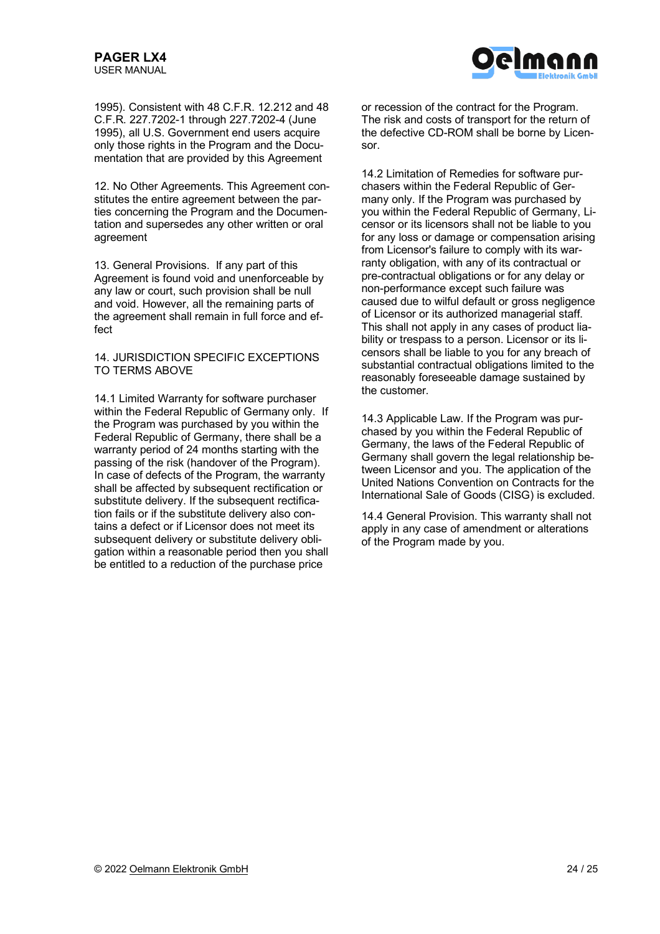

1995). Consistent with 48 C.F.R. 12.212 and 48 C.F.R. 227.7202-1 through 227.7202-4 (June 1995), all U.S. Government end users acquire only those rights in the Program and the Documentation that are provided by this Agreement

12. No Other Agreements. This Agreement constitutes the entire agreement between the parties concerning the Program and the Documentation and supersedes any other written or oral agreement

13. General Provisions. If any part of this Agreement is found void and unenforceable by any law or court, such provision shall be null and void. However, all the remaining parts of the agreement shall remain in full force and effect

14. JURISDICTION SPECIFIC EXCEPTIONS TO TERMS ABOVE

14.1 Limited Warranty for software purchaser within the Federal Republic of Germany only. If the Program was purchased by you within the Federal Republic of Germany, there shall be a warranty period of 24 months starting with the passing of the risk (handover of the Program). In case of defects of the Program, the warranty shall be affected by subsequent rectification or substitute delivery. If the subsequent rectification fails or if the substitute delivery also contains a defect or if Licensor does not meet its subsequent delivery or substitute delivery obligation within a reasonable period then you shall be entitled to a reduction of the purchase price

or recession of the contract for the Program. The risk and costs of transport for the return of the defective CD-ROM shall be borne by Licensor.

14.2 Limitation of Remedies for software purchasers within the Federal Republic of Germany only. If the Program was purchased by you within the Federal Republic of Germany, Licensor or its licensors shall not be liable to you for any loss or damage or compensation arising from Licensor's failure to comply with its warranty obligation, with any of its contractual or pre-contractual obligations or for any delay or non-performance except such failure was caused due to wilful default or gross negligence of Licensor or its authorized managerial staff. This shall not apply in any cases of product liability or trespass to a person. Licensor or its licensors shall be liable to you for any breach of substantial contractual obligations limited to the reasonably foreseeable damage sustained by the customer.

14.3 Applicable Law. If the Program was purchased by you within the Federal Republic of Germany, the laws of the Federal Republic of Germany shall govern the legal relationship between Licensor and you. The application of the United Nations Convention on Contracts for the International Sale of Goods (CISG) is excluded.

14.4 General Provision. This warranty shall not apply in any case of amendment or alterations of the Program made by you.